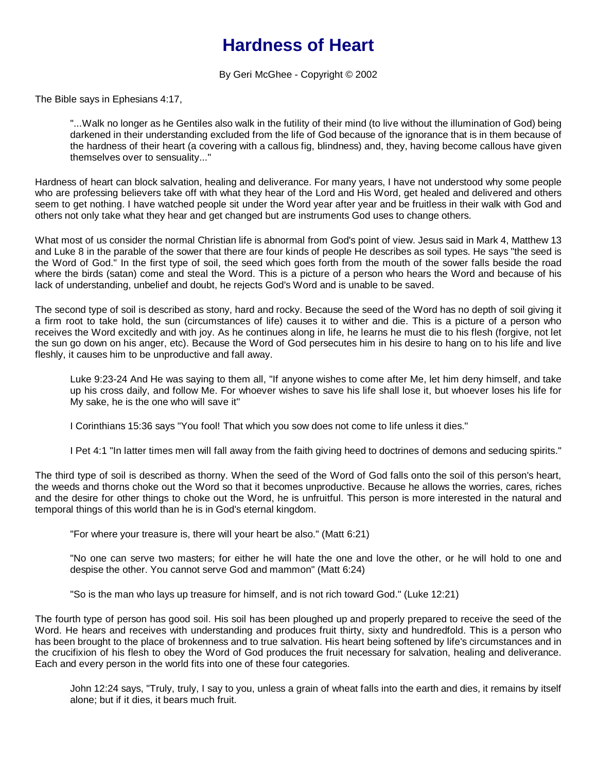## **Hardness of Heart**

By Geri McGhee - Copyright © 2002

The Bible says in Ephesians 4:17,

"...Walk no longer as he Gentiles also walk in the futility of their mind (to live without the illumination of God) being darkened in their understanding excluded from the life of God because of the ignorance that is in them because of the hardness of their heart (a covering with a callous fig, blindness) and, they, having become callous have given themselves over to sensuality..."

Hardness of heart can block salvation, healing and deliverance. For many years, I have not understood why some people who are professing believers take off with what they hear of the Lord and His Word, get healed and delivered and others seem to get nothing. I have watched people sit under the Word year after year and be fruitless in their walk with God and others not only take what they hear and get changed but are instruments God uses to change others.

What most of us consider the normal Christian life is abnormal from God's point of view. Jesus said in Mark 4, Matthew 13 and Luke 8 in the parable of the sower that there are four kinds of people He describes as soil types. He says "the seed is the Word of God." In the first type of soil, the seed which goes forth from the mouth of the sower falls beside the road where the birds (satan) come and steal the Word. This is a picture of a person who hears the Word and because of his lack of understanding, unbelief and doubt, he rejects God's Word and is unable to be saved.

The second type of soil is described as stony, hard and rocky. Because the seed of the Word has no depth of soil giving it a firm root to take hold, the sun (circumstances of life) causes it to wither and die. This is a picture of a person who receives the Word excitedly and with joy. As he continues along in life, he learns he must die to his flesh (forgive, not let the sun go down on his anger, etc). Because the Word of God persecutes him in his desire to hang on to his life and live fleshly, it causes him to be unproductive and fall away.

Luke 9:23-24 And He was saying to them all, "If anyone wishes to come after Me, let him deny himself, and take up his cross daily, and follow Me. For whoever wishes to save his life shall lose it, but whoever loses his life for My sake, he is the one who will save it"

I Corinthians 15:36 says "You fool! That which you sow does not come to life unless it dies."

I Pet 4:1 "In latter times men will fall away from the faith giving heed to doctrines of demons and seducing spirits."

The third type of soil is described as thorny. When the seed of the Word of God falls onto the soil of this person's heart, the weeds and thorns choke out the Word so that it becomes unproductive. Because he allows the worries, cares, riches and the desire for other things to choke out the Word, he is unfruitful. This person is more interested in the natural and temporal things of this world than he is in God's eternal kingdom.

"For where your treasure is, there will your heart be also." (Matt 6:21)

"No one can serve two masters; for either he will hate the one and love the other, or he will hold to one and despise the other. You cannot serve God and mammon" (Matt 6:24)

"So is the man who lays up treasure for himself, and is not rich toward God." (Luke 12:21)

The fourth type of person has good soil. His soil has been ploughed up and properly prepared to receive the seed of the Word. He hears and receives with understanding and produces fruit thirty, sixty and hundredfold. This is a person who has been brought to the place of brokenness and to true salvation. His heart being softened by life's circumstances and in the crucifixion of his flesh to obey the Word of God produces the fruit necessary for salvation, healing and deliverance. Each and every person in the world fits into one of these four categories.

John 12:24 says, "Truly, truly, I say to you, unless a grain of wheat falls into the earth and dies, it remains by itself alone; but if it dies, it bears much fruit.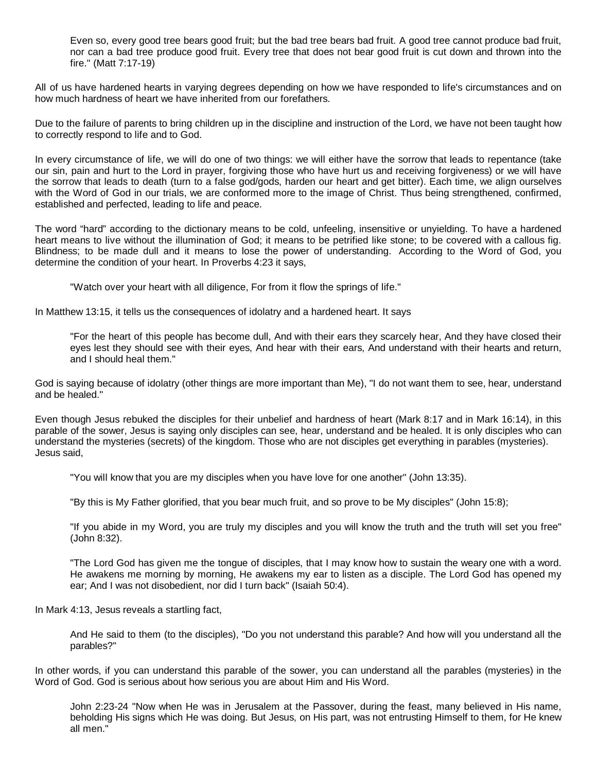Even so, every good tree bears good fruit; but the bad tree bears bad fruit. A good tree cannot produce bad fruit, nor can a bad tree produce good fruit. Every tree that does not bear good fruit is cut down and thrown into the fire." (Matt 7:17-19)

All of us have hardened hearts in varying degrees depending on how we have responded to life's circumstances and on how much hardness of heart we have inherited from our forefathers.

Due to the failure of parents to bring children up in the discipline and instruction of the Lord, we have not been taught how to correctly respond to life and to God.

In every circumstance of life, we will do one of two things: we will either have the sorrow that leads to repentance (take our sin, pain and hurt to the Lord in prayer, forgiving those who have hurt us and receiving forgiveness) or we will have the sorrow that leads to death (turn to a false god/gods, harden our heart and get bitter). Each time, we align ourselves with the Word of God in our trials, we are conformed more to the image of Christ. Thus being strengthened, confirmed, established and perfected, leading to life and peace.

The word "hard" according to the dictionary means to be cold, unfeeling, insensitive or unyielding. To have a hardened heart means to live without the illumination of God; it means to be petrified like stone; to be covered with a callous fig. Blindness; to be made dull and it means to lose the power of understanding. According to the Word of God, you determine the condition of your heart. In Proverbs 4:23 it says,

"Watch over your heart with all diligence, For from it flow the springs of life."

In Matthew 13:15, it tells us the consequences of idolatry and a hardened heart. It says

"For the heart of this people has become dull, And with their ears they scarcely hear, And they have closed their eyes lest they should see with their eyes, And hear with their ears, And understand with their hearts and return, and I should heal them."

God is saying because of idolatry (other things are more important than Me), "I do not want them to see, hear, understand and be healed."

Even though Jesus rebuked the disciples for their unbelief and hardness of heart (Mark 8:17 and in Mark 16:14), in this parable of the sower, Jesus is saying only disciples can see, hear, understand and be healed. It is only disciples who can understand the mysteries (secrets) of the kingdom. Those who are not disciples get everything in parables (mysteries). Jesus said,

"You will know that you are my disciples when you have love for one another" (John 13:35).

"By this is My Father glorified, that you bear much fruit, and so prove to be My disciples" (John 15:8);

"If you abide in my Word, you are truly my disciples and you will know the truth and the truth will set you free" (John 8:32).

"The Lord God has given me the tongue of disciples, that I may know how to sustain the weary one with a word. He awakens me morning by morning, He awakens my ear to listen as a disciple. The Lord God has opened my ear; And I was not disobedient, nor did I turn back" (Isaiah 50:4).

In Mark 4:13, Jesus reveals a startling fact,

And He said to them (to the disciples), "Do you not understand this parable? And how will you understand all the parables?"

In other words, if you can understand this parable of the sower, you can understand all the parables (mysteries) in the Word of God. God is serious about how serious you are about Him and His Word.

John 2:23-24 "Now when He was in Jerusalem at the Passover, during the feast, many believed in His name, beholding His signs which He was doing. But Jesus, on His part, was not entrusting Himself to them, for He knew all men."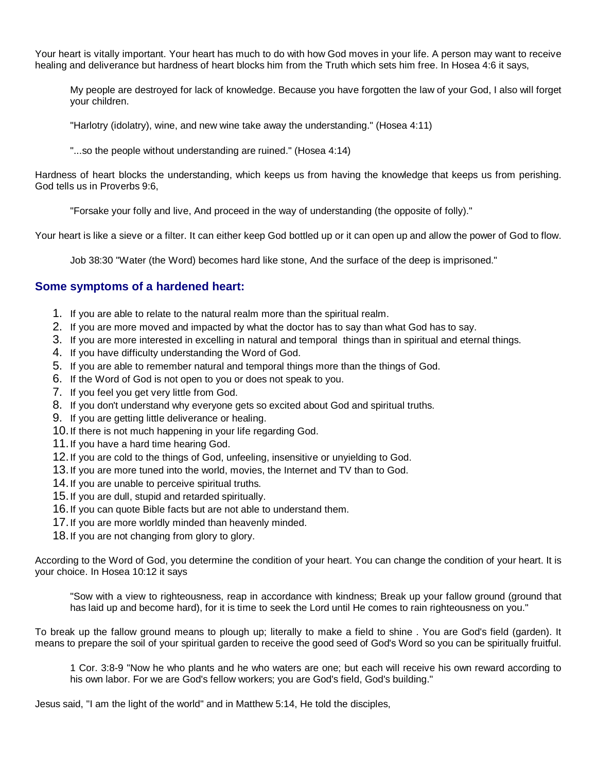Your heart is vitally important. Your heart has much to do with how God moves in your life. A person may want to receive healing and deliverance but hardness of heart blocks him from the Truth which sets him free. In Hosea 4:6 it says,

My people are destroyed for lack of knowledge. Because you have forgotten the law of your God, I also will forget your children.

"Harlotry (idolatry), wine, and new wine take away the understanding." (Hosea 4:11)

"...so the people without understanding are ruined." (Hosea 4:14)

Hardness of heart blocks the understanding, which keeps us from having the knowledge that keeps us from perishing. God tells us in Proverbs 9:6,

"Forsake your folly and live, And proceed in the way of understanding (the opposite of folly)."

Your heart is like a sieve or a filter. It can either keep God bottled up or it can open up and allow the power of God to flow.

Job 38:30 "Water (the Word) becomes hard like stone, And the surface of the deep is imprisoned."

## **Some symptoms of a hardened heart:**

- 1. If you are able to relate to the natural realm more than the spiritual realm.
- 2. If you are more moved and impacted by what the doctor has to say than what God has to say.
- 3. If you are more interested in excelling in natural and temporal things than in spiritual and eternal things.
- 4. If you have difficulty understanding the Word of God.
- 5. If you are able to remember natural and temporal things more than the things of God.
- 6. If the Word of God is not open to you or does not speak to you.
- 7. If you feel you get very little from God.
- 8. If you don't understand why everyone gets so excited about God and spiritual truths.
- 9. If you are getting little deliverance or healing.
- 10.If there is not much happening in your life regarding God.
- 11.If you have a hard time hearing God.
- 12.If you are cold to the things of God, unfeeling, insensitive or unyielding to God.
- 13.If you are more tuned into the world, movies, the Internet and TV than to God.
- 14.If you are unable to perceive spiritual truths.
- 15.If you are dull, stupid and retarded spiritually.
- 16.If you can quote Bible facts but are not able to understand them.
- 17.If you are more worldly minded than heavenly minded.
- 18.If you are not changing from glory to glory.

According to the Word of God, you determine the condition of your heart. You can change the condition of your heart. It is your choice. In Hosea 10:12 it says

"Sow with a view to righteousness, reap in accordance with kindness; Break up your fallow ground (ground that has laid up and become hard), for it is time to seek the Lord until He comes to rain righteousness on you."

To break up the fallow ground means to plough up; literally to make a field to shine . You are God's field (garden). It means to prepare the soil of your spiritual garden to receive the good seed of God's Word so you can be spiritually fruitful.

1 Cor. 3:8-9 "Now he who plants and he who waters are one; but each will receive his own reward according to his own labor. For we are God's fellow workers; you are God's field, God's building."

Jesus said, "I am the light of the world" and in Matthew 5:14, He told the disciples,